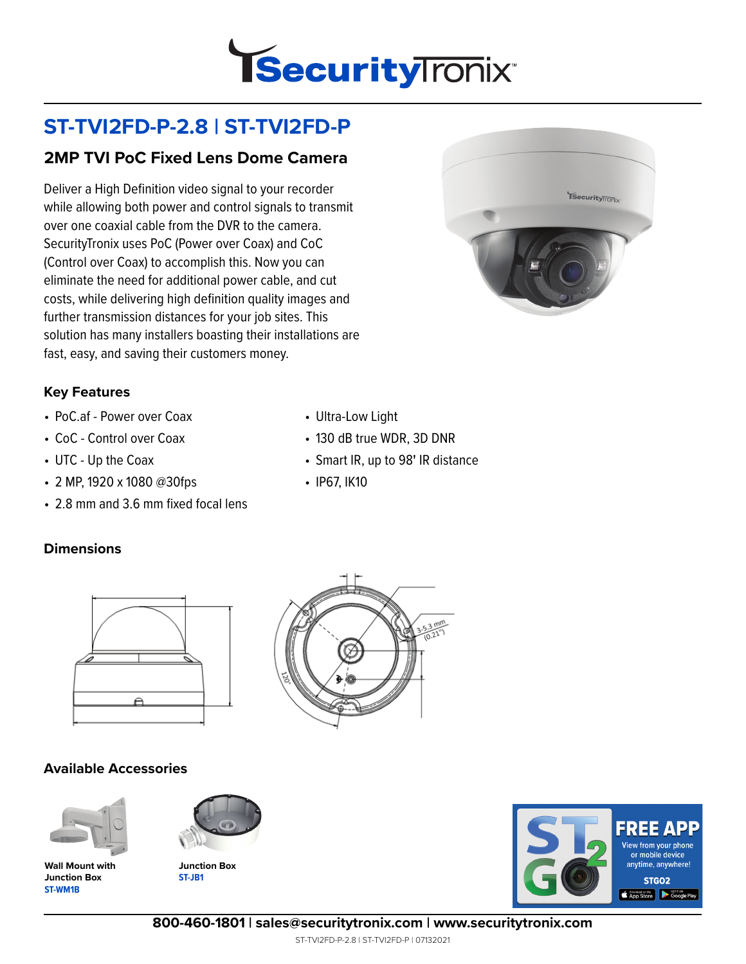

# **ST-TVI2FD-P-2.8 | ST-TVI2FD-P**

## **2MP TVI PoC Fixed Lens Dome Camera**

Deliver a High Definition video signal to your recorder while allowing both power and control signals to transmit over one coaxial cable from the DVR to the camera. SecurityTronix uses PoC (Power over Coax) and CoC (Control over Coax) to accomplish this. Now you can eliminate the need for additional power cable, and cut costs, while delivering high definition quality images and further transmission distances for your job sites. This solution has many installers boasting their installations are fast, easy, and saving their customers money.



#### **Key Features**

- PoC.af Power over Coax
- CoC Control over Coax
- UTC Up the Coax
- 2 MP, 1920 x 1080 @30fps
- 2.8 mm and 3.6 mm fixed focal lens

#### **Dimensions**



#### **Available Accessories**



**ST-WM1B Wall Mount with Junction Box**



**ST-JB1 Junction Box**



• Ultra-Low Light

• IP67, IK10

• 130 dB true WDR, 3D DNR

• Smart IR, up to 98**'** IR distance



**800-460-1801 | sales@securitytronix.com | www.securitytronix.com**

ST-TVI2FD-P-2.8 | ST-TVI2FD-P | 07132021